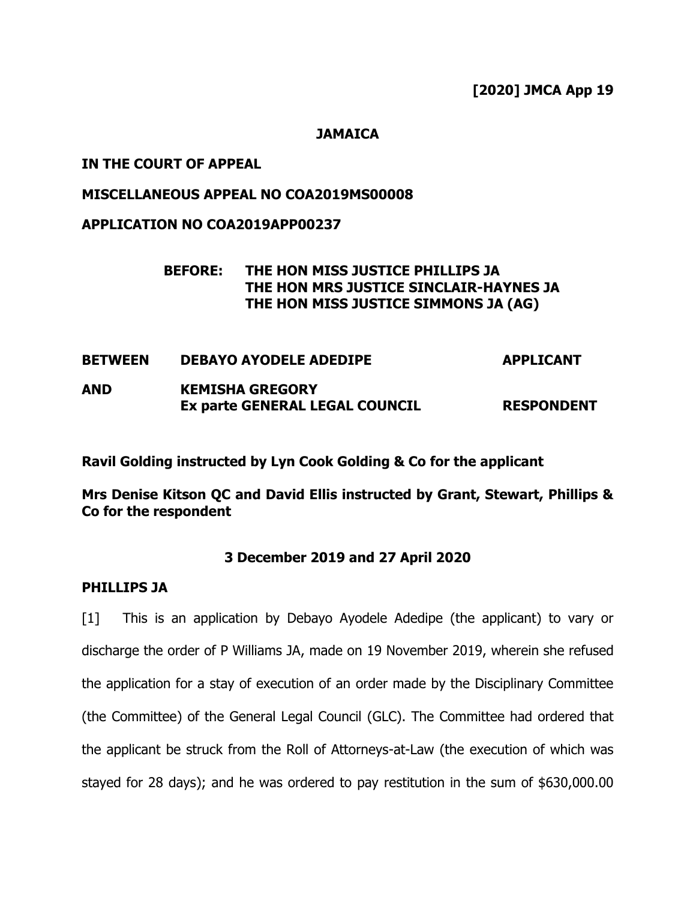**[2020] JMCA App 19**

## **JAMAICA**

## **IN THE COURT OF APPEAL**

## **MISCELLANEOUS APPEAL NO COA2019MS00008**

## **APPLICATION NO COA2019APP00237**

# **BEFORE: THE HON MISS JUSTICE PHILLIPS JA THE HON MRS JUSTICE SINCLAIR-HAYNES JA THE HON MISS JUSTICE SIMMONS JA (AG)**

| <b>BETWEEN</b> | <b>DEBAYO AYODELE ADEDIPE</b>         | <b>APPLICANT</b>  |
|----------------|---------------------------------------|-------------------|
| AND            | <b>KEMISHA GREGORY</b>                |                   |
|                | <b>Ex parte GENERAL LEGAL COUNCIL</b> | <b>RESPONDENT</b> |

**Ravil Golding instructed by Lyn Cook Golding & Co for the applicant**

**Mrs Denise Kitson QC and David Ellis instructed by Grant, Stewart, Phillips & Co for the respondent**

# **3 December 2019 and 27 April 2020**

### **PHILLIPS JA**

[1] This is an application by Debayo Ayodele Adedipe (the applicant) to vary or discharge the order of P Williams JA, made on 19 November 2019, wherein she refused the application for a stay of execution of an order made by the Disciplinary Committee (the Committee) of the General Legal Council (GLC). The Committee had ordered that the applicant be struck from the Roll of Attorneys-at-Law (the execution of which was stayed for 28 days); and he was ordered to pay restitution in the sum of \$630,000.00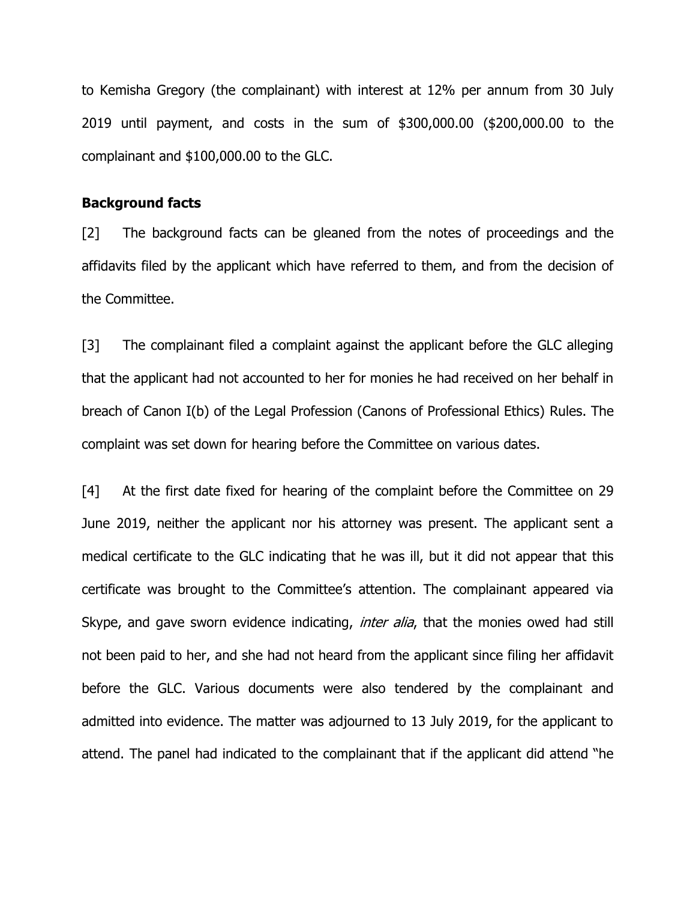to Kemisha Gregory (the complainant) with interest at 12% per annum from 30 July 2019 until payment, and costs in the sum of \$300,000.00 (\$200,000.00 to the complainant and \$100,000.00 to the GLC.

#### **Background facts**

[2] The background facts can be gleaned from the notes of proceedings and the affidavits filed by the applicant which have referred to them, and from the decision of the Committee.

[3] The complainant filed a complaint against the applicant before the GLC alleging that the applicant had not accounted to her for monies he had received on her behalf in breach of Canon I(b) of the Legal Profession (Canons of Professional Ethics) Rules. The complaint was set down for hearing before the Committee on various dates.

[4] At the first date fixed for hearing of the complaint before the Committee on 29 June 2019, neither the applicant nor his attorney was present. The applicant sent a medical certificate to the GLC indicating that he was ill, but it did not appear that this certificate was brought to the Committee's attention. The complainant appeared via Skype, and gave sworn evidence indicating, *inter alia*, that the monies owed had still not been paid to her, and she had not heard from the applicant since filing her affidavit before the GLC. Various documents were also tendered by the complainant and admitted into evidence. The matter was adjourned to 13 July 2019, for the applicant to attend. The panel had indicated to the complainant that if the applicant did attend "he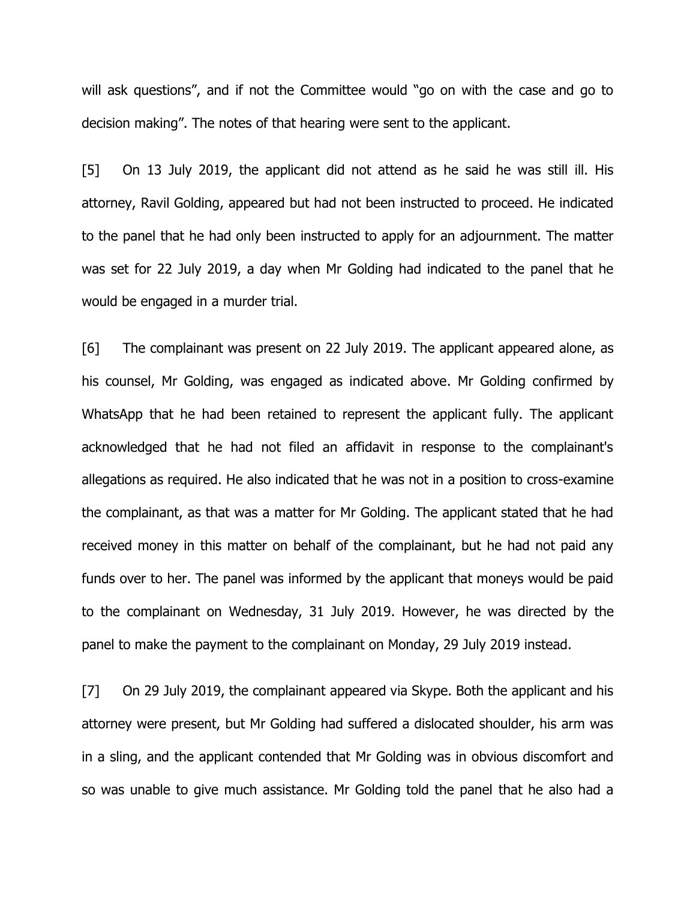will ask questions", and if not the Committee would "go on with the case and go to decision making". The notes of that hearing were sent to the applicant.

[5] On 13 July 2019, the applicant did not attend as he said he was still ill. His attorney, Ravil Golding, appeared but had not been instructed to proceed. He indicated to the panel that he had only been instructed to apply for an adjournment. The matter was set for 22 July 2019, a day when Mr Golding had indicated to the panel that he would be engaged in a murder trial.

[6] The complainant was present on 22 July 2019. The applicant appeared alone, as his counsel, Mr Golding, was engaged as indicated above. Mr Golding confirmed by WhatsApp that he had been retained to represent the applicant fully. The applicant acknowledged that he had not filed an affidavit in response to the complainant's allegations as required. He also indicated that he was not in a position to cross-examine the complainant, as that was a matter for Mr Golding. The applicant stated that he had received money in this matter on behalf of the complainant, but he had not paid any funds over to her. The panel was informed by the applicant that moneys would be paid to the complainant on Wednesday, 31 July 2019. However, he was directed by the panel to make the payment to the complainant on Monday, 29 July 2019 instead.

[7] On 29 July 2019, the complainant appeared via Skype. Both the applicant and his attorney were present, but Mr Golding had suffered a dislocated shoulder, his arm was in a sling, and the applicant contended that Mr Golding was in obvious discomfort and so was unable to give much assistance. Mr Golding told the panel that he also had a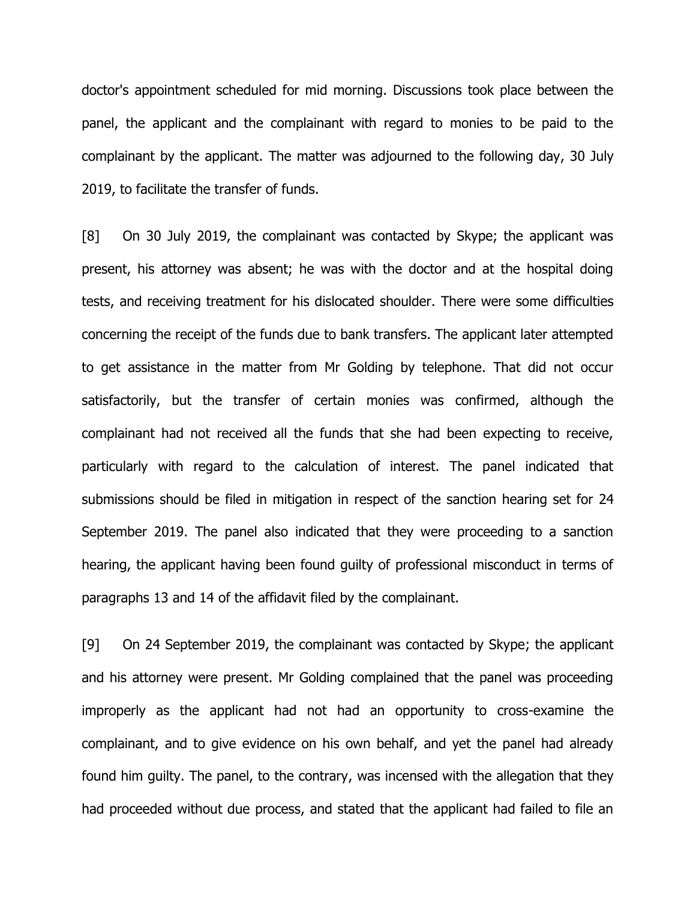doctor's appointment scheduled for mid morning. Discussions took place between the panel, the applicant and the complainant with regard to monies to be paid to the complainant by the applicant. The matter was adjourned to the following day, 30 July 2019, to facilitate the transfer of funds.

[8] On 30 July 2019, the complainant was contacted by Skype; the applicant was present, his attorney was absent; he was with the doctor and at the hospital doing tests, and receiving treatment for his dislocated shoulder. There were some difficulties concerning the receipt of the funds due to bank transfers. The applicant later attempted to get assistance in the matter from Mr Golding by telephone. That did not occur satisfactorily, but the transfer of certain monies was confirmed, although the complainant had not received all the funds that she had been expecting to receive, particularly with regard to the calculation of interest. The panel indicated that submissions should be filed in mitigation in respect of the sanction hearing set for 24 September 2019. The panel also indicated that they were proceeding to a sanction hearing, the applicant having been found guilty of professional misconduct in terms of paragraphs 13 and 14 of the affidavit filed by the complainant.

[9] On 24 September 2019, the complainant was contacted by Skype; the applicant and his attorney were present. Mr Golding complained that the panel was proceeding improperly as the applicant had not had an opportunity to cross-examine the complainant, and to give evidence on his own behalf, and yet the panel had already found him guilty. The panel, to the contrary, was incensed with the allegation that they had proceeded without due process, and stated that the applicant had failed to file an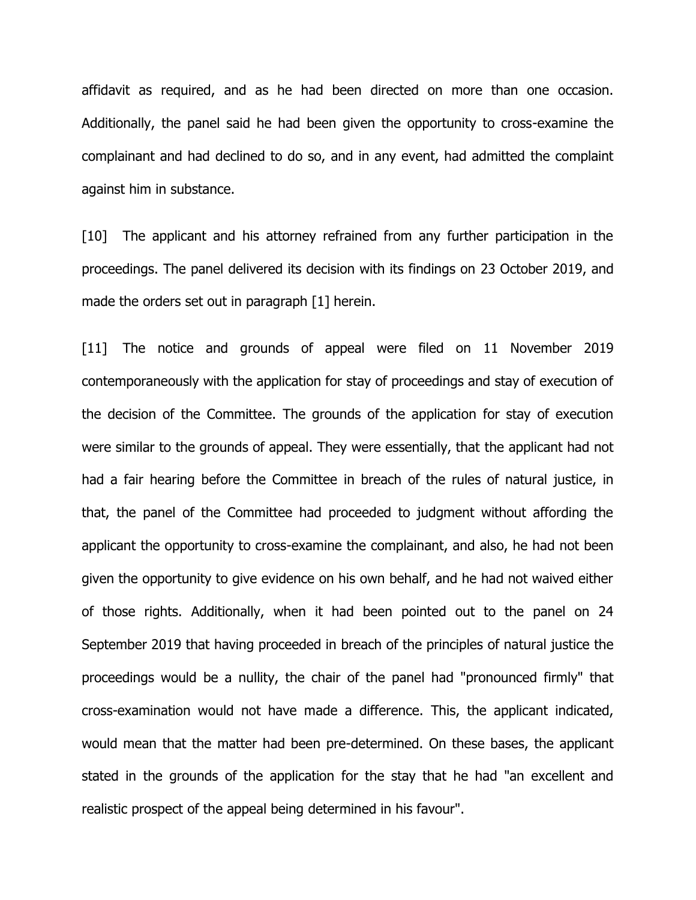affidavit as required, and as he had been directed on more than one occasion. Additionally, the panel said he had been given the opportunity to cross-examine the complainant and had declined to do so, and in any event, had admitted the complaint against him in substance.

[10] The applicant and his attorney refrained from any further participation in the proceedings. The panel delivered its decision with its findings on 23 October 2019, and made the orders set out in paragraph [1] herein.

[11] The notice and grounds of appeal were filed on 11 November 2019 contemporaneously with the application for stay of proceedings and stay of execution of the decision of the Committee. The grounds of the application for stay of execution were similar to the grounds of appeal. They were essentially, that the applicant had not had a fair hearing before the Committee in breach of the rules of natural justice, in that, the panel of the Committee had proceeded to judgment without affording the applicant the opportunity to cross-examine the complainant, and also, he had not been given the opportunity to give evidence on his own behalf, and he had not waived either of those rights. Additionally, when it had been pointed out to the panel on 24 September 2019 that having proceeded in breach of the principles of natural justice the proceedings would be a nullity, the chair of the panel had "pronounced firmly" that cross-examination would not have made a difference. This, the applicant indicated, would mean that the matter had been pre-determined. On these bases, the applicant stated in the grounds of the application for the stay that he had "an excellent and realistic prospect of the appeal being determined in his favour".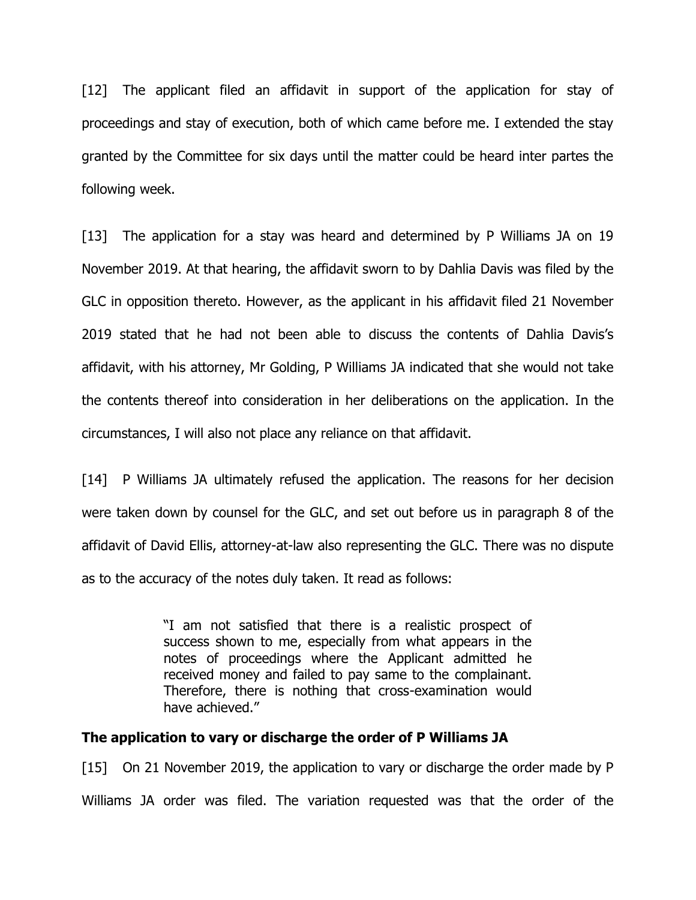[12] The applicant filed an affidavit in support of the application for stay of proceedings and stay of execution, both of which came before me. I extended the stay granted by the Committee for six days until the matter could be heard inter partes the following week.

[13] The application for a stay was heard and determined by P Williams JA on 19 November 2019. At that hearing, the affidavit sworn to by Dahlia Davis was filed by the GLC in opposition thereto. However, as the applicant in his affidavit filed 21 November 2019 stated that he had not been able to discuss the contents of Dahlia Davis's affidavit, with his attorney, Mr Golding, P Williams JA indicated that she would not take the contents thereof into consideration in her deliberations on the application. In the circumstances, I will also not place any reliance on that affidavit.

[14] P Williams JA ultimately refused the application. The reasons for her decision were taken down by counsel for the GLC, and set out before us in paragraph 8 of the affidavit of David Ellis, attorney-at-law also representing the GLC. There was no dispute as to the accuracy of the notes duly taken. It read as follows:

> "I am not satisfied that there is a realistic prospect of success shown to me, especially from what appears in the notes of proceedings where the Applicant admitted he received money and failed to pay same to the complainant. Therefore, there is nothing that cross-examination would have achieved."

#### **The application to vary or discharge the order of P Williams JA**

[15] On 21 November 2019, the application to vary or discharge the order made by P Williams JA order was filed. The variation requested was that the order of the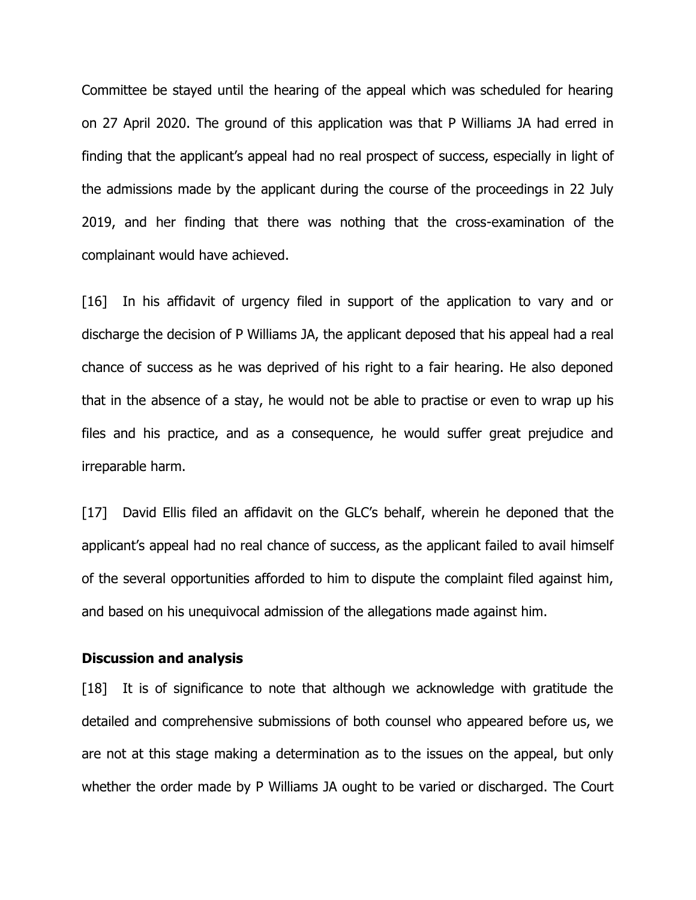Committee be stayed until the hearing of the appeal which was scheduled for hearing on 27 April 2020. The ground of this application was that P Williams JA had erred in finding that the applicant's appeal had no real prospect of success, especially in light of the admissions made by the applicant during the course of the proceedings in 22 July 2019, and her finding that there was nothing that the cross-examination of the complainant would have achieved.

[16] In his affidavit of urgency filed in support of the application to vary and or discharge the decision of P Williams JA, the applicant deposed that his appeal had a real chance of success as he was deprived of his right to a fair hearing. He also deponed that in the absence of a stay, he would not be able to practise or even to wrap up his files and his practice, and as a consequence, he would suffer great prejudice and irreparable harm.

[17] David Ellis filed an affidavit on the GLC's behalf, wherein he deponed that the applicant's appeal had no real chance of success, as the applicant failed to avail himself of the several opportunities afforded to him to dispute the complaint filed against him, and based on his unequivocal admission of the allegations made against him.

#### **Discussion and analysis**

[18] It is of significance to note that although we acknowledge with gratitude the detailed and comprehensive submissions of both counsel who appeared before us, we are not at this stage making a determination as to the issues on the appeal, but only whether the order made by P Williams JA ought to be varied or discharged. The Court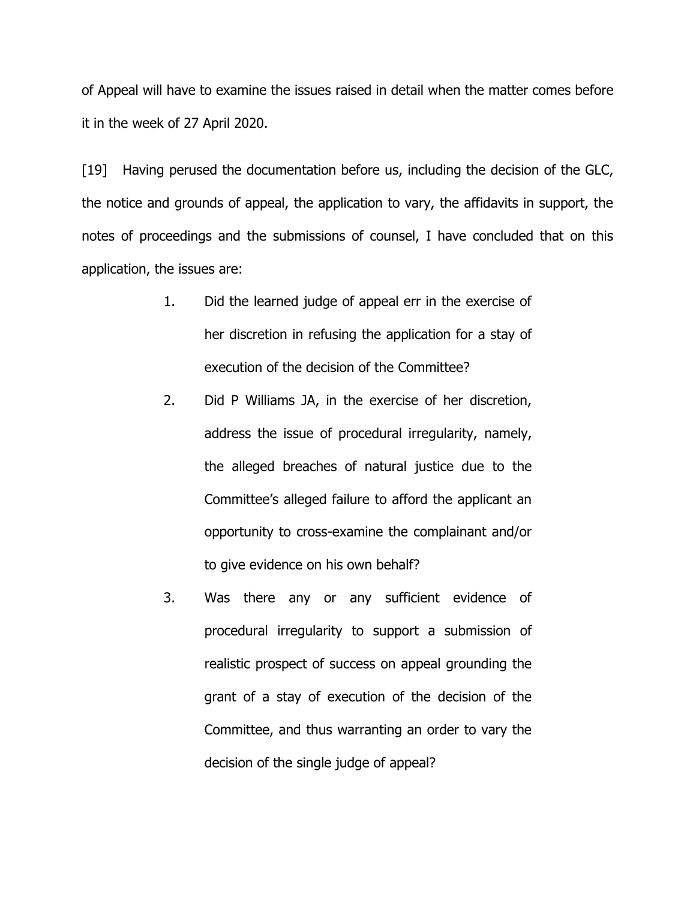of Appeal will have to examine the issues raised in detail when the matter comes before it in the week of 27 April 2020.

[19] Having perused the documentation before us, including the decision of the GLC, the notice and grounds of appeal, the application to vary, the affidavits in support, the notes of proceedings and the submissions of counsel, I have concluded that on this application, the issues are:

- 1. Did the learned judge of appeal err in the exercise of her discretion in refusing the application for a stay of execution of the decision of the Committee?
- 2. Did P Williams JA, in the exercise of her discretion, address the issue of procedural irregularity, namely, the alleged breaches of natural justice due to the Committee's alleged failure to afford the applicant an opportunity to cross-examine the complainant and/or to give evidence on his own behalf?
- 3. Was there any or any sufficient evidence of procedural irregularity to support a submission of realistic prospect of success on appeal grounding the grant of a stay of execution of the decision of the Committee, and thus warranting an order to vary the decision of the single judge of appeal?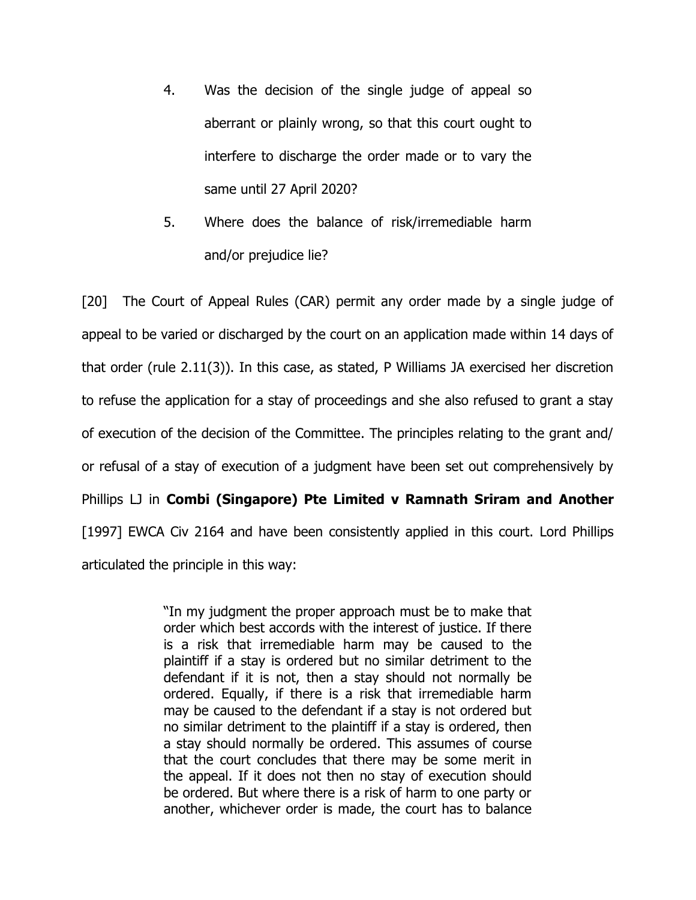- 4. Was the decision of the single judge of appeal so aberrant or plainly wrong, so that this court ought to interfere to discharge the order made or to vary the same until 27 April 2020?
- 5. Where does the balance of risk/irremediable harm and/or prejudice lie?

[20] The Court of Appeal Rules (CAR) permit any order made by a single judge of appeal to be varied or discharged by the court on an application made within 14 days of that order (rule 2.11(3)). In this case, as stated, P Williams JA exercised her discretion to refuse the application for a stay of proceedings and she also refused to grant a stay of execution of the decision of the Committee. The principles relating to the grant and/ or refusal of a stay of execution of a judgment have been set out comprehensively by Phillips LJ in **Combi (Singapore) Pte Limited v Ramnath Sriram and Another**  [1997] EWCA Civ 2164 and have been consistently applied in this court. Lord Phillips articulated the principle in this way:

> "In my judgment the proper approach must be to make that order which best accords with the interest of justice. If there is a risk that irremediable harm may be caused to the plaintiff if a stay is ordered but no similar detriment to the defendant if it is not, then a stay should not normally be ordered. Equally, if there is a risk that irremediable harm may be caused to the defendant if a stay is not ordered but no similar detriment to the plaintiff if a stay is ordered, then a stay should normally be ordered. This assumes of course that the court concludes that there may be some merit in the appeal. If it does not then no stay of execution should be ordered. But where there is a risk of harm to one party or another, whichever order is made, the court has to balance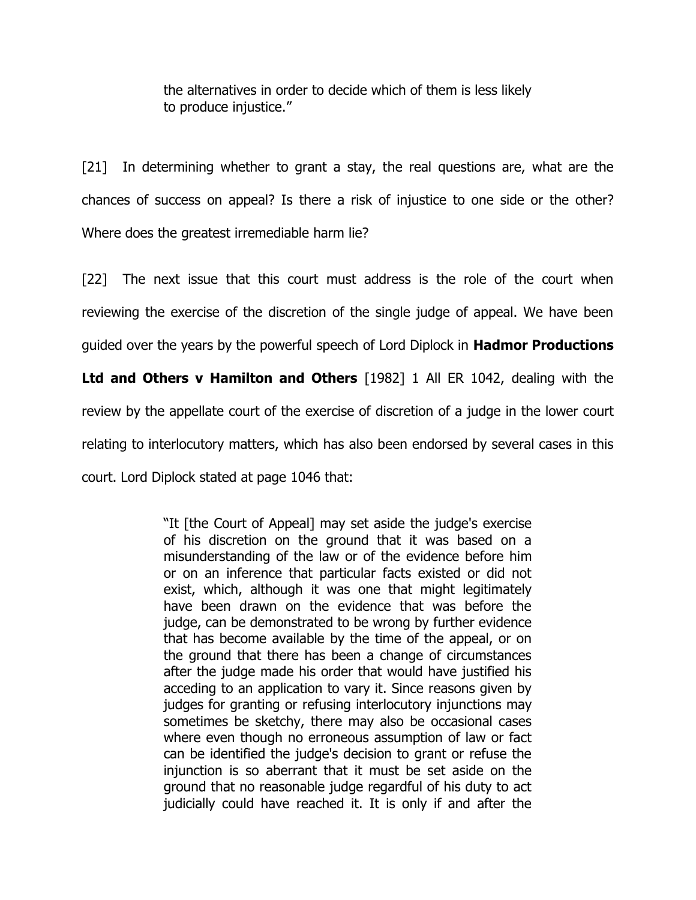the alternatives in order to decide which of them is less likely to produce injustice."

[21] In determining whether to grant a stay, the real questions are, what are the chances of success on appeal? Is there a risk of injustice to one side or the other? Where does the greatest irremediable harm lie?

[22] The next issue that this court must address is the role of the court when reviewing the exercise of the discretion of the single judge of appeal. We have been guided over the years by the powerful speech of Lord Diplock in **Hadmor Productions** 

**Ltd and Others v Hamilton and Others** [1982] 1 All ER 1042, dealing with the review by the appellate court of the exercise of discretion of a judge in the lower court relating to interlocutory matters, which has also been endorsed by several cases in this court. Lord Diplock stated at page 1046 that:

> "It [the Court of Appeal] may set aside the judge's exercise of his discretion on the ground that it was based on a misunderstanding of the law or of the evidence before him or on an inference that particular facts existed or did not exist, which, although it was one that might legitimately have been drawn on the evidence that was before the judge, can be demonstrated to be wrong by further evidence that has become available by the time of the appeal, or on the ground that there has been a change of circumstances after the judge made his order that would have justified his acceding to an application to vary it. Since reasons given by judges for granting or refusing interlocutory injunctions may sometimes be sketchy, there may also be occasional cases where even though no erroneous assumption of law or fact can be identified the judge's decision to grant or refuse the injunction is so aberrant that it must be set aside on the ground that no reasonable judge regardful of his duty to act judicially could have reached it. It is only if and after the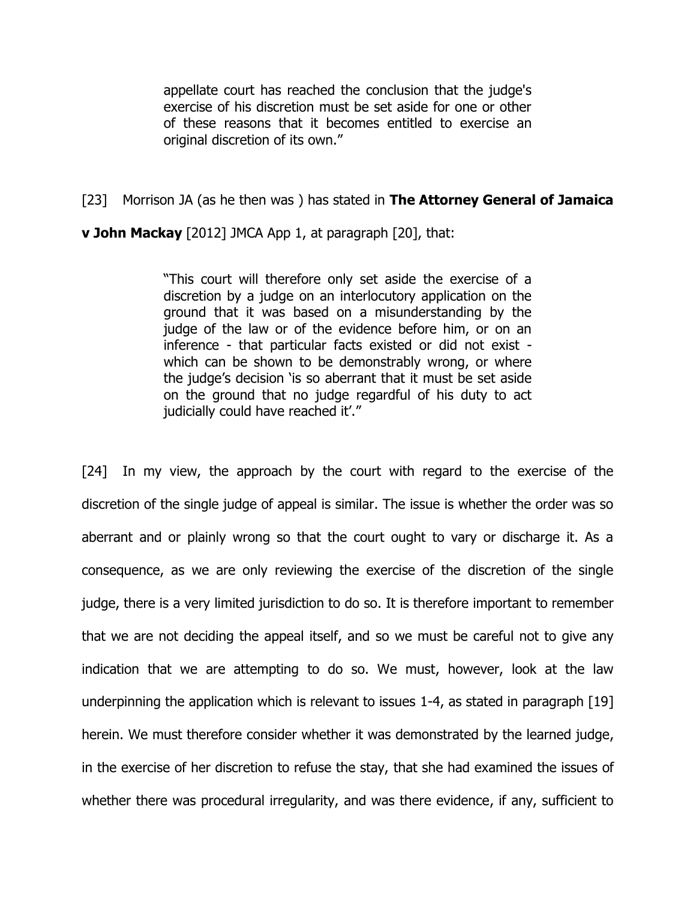appellate court has reached the conclusion that the judge's exercise of his discretion must be set aside for one or other of these reasons that it becomes entitled to exercise an original discretion of its own."

## [23] Morrison JA (as he then was ) has stated in **The Attorney General of Jamaica**

**v John Mackay** [2012] JMCA App 1, at paragraph [20], that:

"This court will therefore only set aside the exercise of a discretion by a judge on an interlocutory application on the ground that it was based on a misunderstanding by the judge of the law or of the evidence before him, or on an inference - that particular facts existed or did not exist which can be shown to be demonstrably wrong, or where the judge's decision 'is so aberrant that it must be set aside on the ground that no judge regardful of his duty to act judicially could have reached it'."

[24] In my view, the approach by the court with regard to the exercise of the discretion of the single judge of appeal is similar. The issue is whether the order was so aberrant and or plainly wrong so that the court ought to vary or discharge it. As a consequence, as we are only reviewing the exercise of the discretion of the single judge, there is a very limited jurisdiction to do so. It is therefore important to remember that we are not deciding the appeal itself, and so we must be careful not to give any indication that we are attempting to do so. We must, however, look at the law underpinning the application which is relevant to issues 1-4, as stated in paragraph [19] herein. We must therefore consider whether it was demonstrated by the learned judge, in the exercise of her discretion to refuse the stay, that she had examined the issues of whether there was procedural irregularity, and was there evidence, if any, sufficient to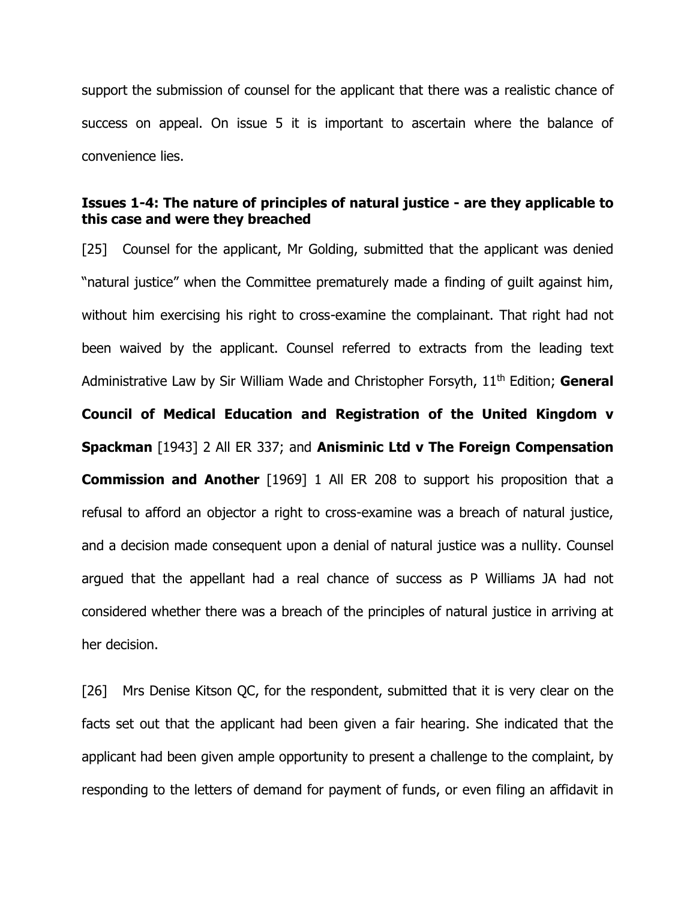support the submission of counsel for the applicant that there was a realistic chance of success on appeal. On issue 5 it is important to ascertain where the balance of convenience lies.

# **Issues 1-4: The nature of principles of natural justice - are they applicable to this case and were they breached**

[25] Counsel for the applicant, Mr Golding, submitted that the applicant was denied "natural justice" when the Committee prematurely made a finding of guilt against him, without him exercising his right to cross-examine the complainant. That right had not been waived by the applicant. Counsel referred to extracts from the leading text Administrative Law by Sir William Wade and Christopher Forsyth, 11th Edition; **General Council of Medical Education and Registration of the United Kingdom v Spackman** [1943] 2 All ER 337; and **Anisminic Ltd v The Foreign Compensation Commission and Another** [1969] 1 All ER 208 to support his proposition that a refusal to afford an objector a right to cross-examine was a breach of natural justice, and a decision made consequent upon a denial of natural justice was a nullity. Counsel argued that the appellant had a real chance of success as P Williams JA had not considered whether there was a breach of the principles of natural justice in arriving at her decision.

[26] Mrs Denise Kitson QC, for the respondent, submitted that it is very clear on the facts set out that the applicant had been given a fair hearing. She indicated that the applicant had been given ample opportunity to present a challenge to the complaint, by responding to the letters of demand for payment of funds, or even filing an affidavit in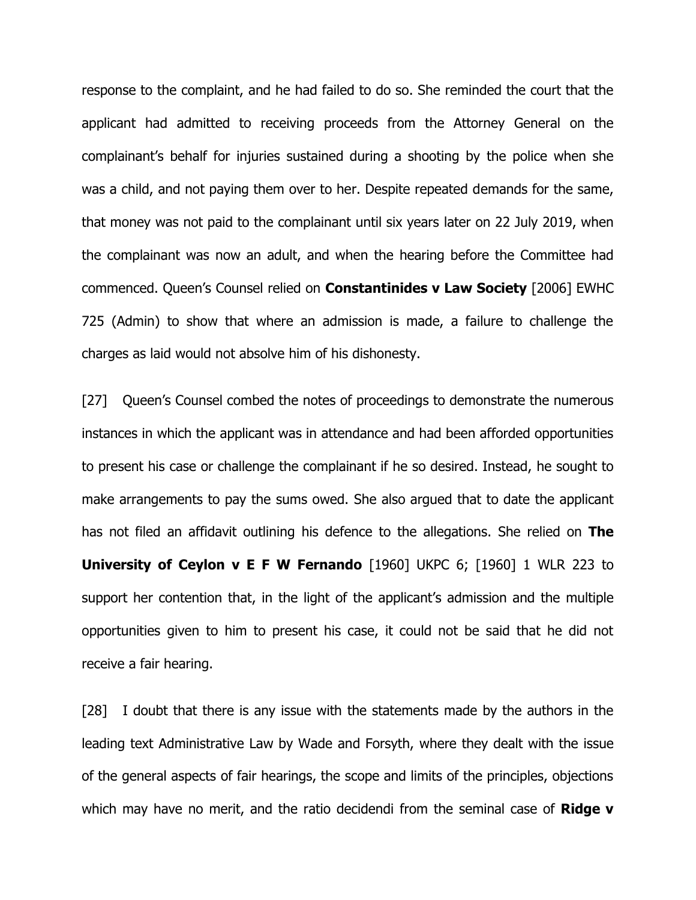response to the complaint, and he had failed to do so. She reminded the court that the applicant had admitted to receiving proceeds from the Attorney General on the complainant's behalf for injuries sustained during a shooting by the police when she was a child, and not paying them over to her. Despite repeated demands for the same, that money was not paid to the complainant until six years later on 22 July 2019, when the complainant was now an adult, and when the hearing before the Committee had commenced. Queen's Counsel relied on **Constantinides v Law Society** [2006] EWHC 725 (Admin) to show that where an admission is made, a failure to challenge the charges as laid would not absolve him of his dishonesty.

[27] Queen's Counsel combed the notes of proceedings to demonstrate the numerous instances in which the applicant was in attendance and had been afforded opportunities to present his case or challenge the complainant if he so desired. Instead, he sought to make arrangements to pay the sums owed. She also argued that to date the applicant has not filed an affidavit outlining his defence to the allegations. She relied on **The University of Ceylon v E F W Fernando** [1960] UKPC 6; [1960] 1 WLR 223 to support her contention that, in the light of the applicant's admission and the multiple opportunities given to him to present his case, it could not be said that he did not receive a fair hearing.

[28] I doubt that there is any issue with the statements made by the authors in the leading text Administrative Law by Wade and Forsyth, where they dealt with the issue of the general aspects of fair hearings, the scope and limits of the principles, objections which may have no merit, and the ratio decidendi from the seminal case of **Ridge v**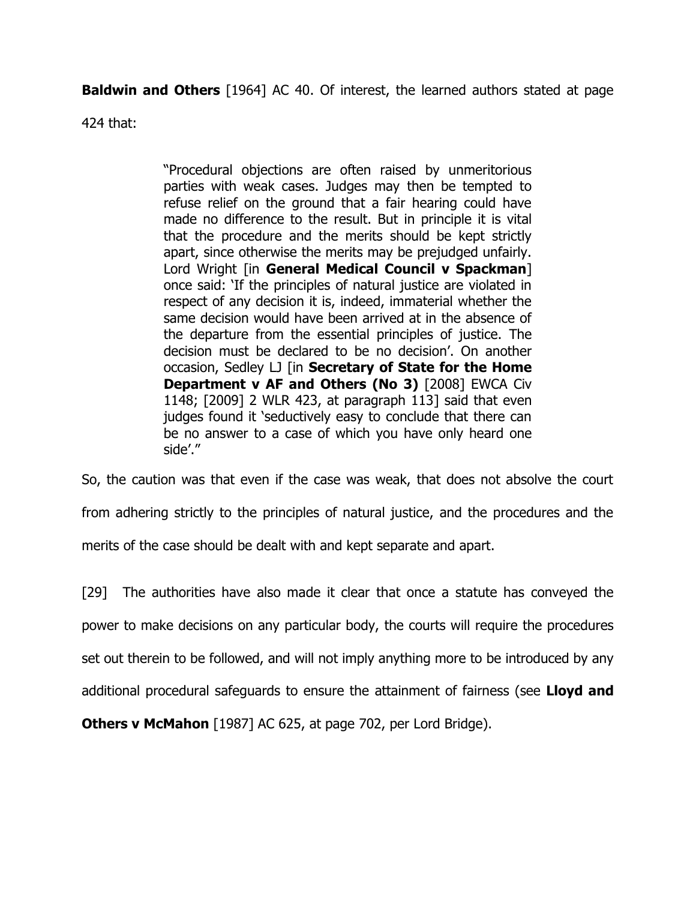**Baldwin and Others** [1964] AC 40. Of interest, the learned authors stated at page

424 that:

"Procedural objections are often raised by unmeritorious parties with weak cases. Judges may then be tempted to refuse relief on the ground that a fair hearing could have made no difference to the result. But in principle it is vital that the procedure and the merits should be kept strictly apart, since otherwise the merits may be prejudged unfairly. Lord Wright [in **General Medical Council v Spackman**] once said: 'If the principles of natural justice are violated in respect of any decision it is, indeed, immaterial whether the same decision would have been arrived at in the absence of the departure from the essential principles of justice. The decision must be declared to be no decision'. On another occasion, Sedley LJ [in **Secretary of State for the Home Department v AF and Others (No 3)** [2008] EWCA Civ 1148; [2009] 2 WLR 423, at paragraph 113] said that even judges found it 'seductively easy to conclude that there can be no answer to a case of which you have only heard one side'."

So, the caution was that even if the case was weak, that does not absolve the court from adhering strictly to the principles of natural justice, and the procedures and the merits of the case should be dealt with and kept separate and apart.

[29] The authorities have also made it clear that once a statute has conveyed the power to make decisions on any particular body, the courts will require the procedures set out therein to be followed, and will not imply anything more to be introduced by any additional procedural safeguards to ensure the attainment of fairness (see **Lloyd and** 

**Others v McMahon** [1987] AC 625, at page 702, per Lord Bridge).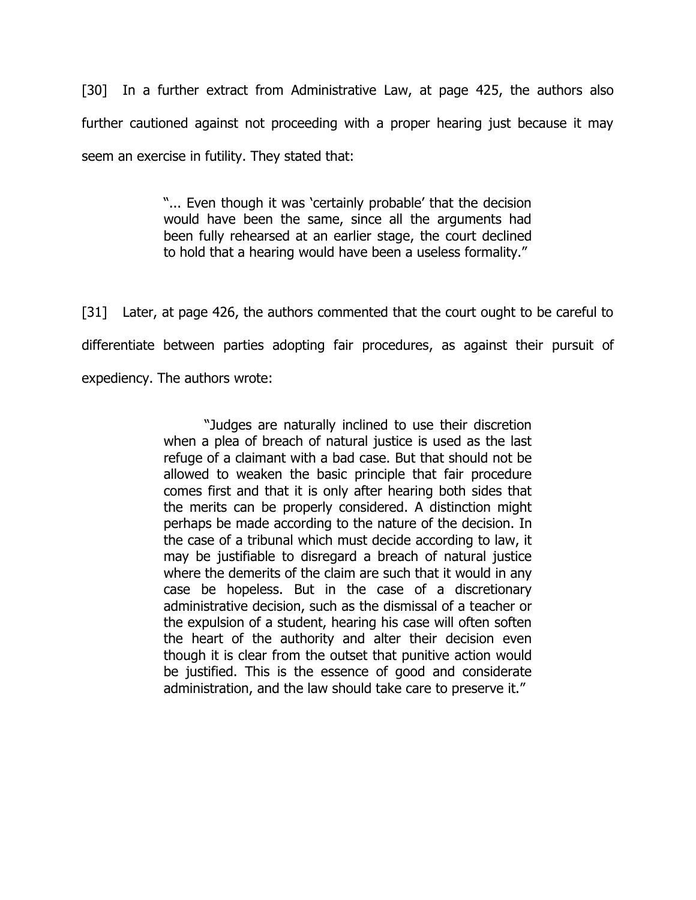[30] In a further extract from Administrative Law, at page 425, the authors also further cautioned against not proceeding with a proper hearing just because it may seem an exercise in futility. They stated that:

> "... Even though it was 'certainly probable' that the decision would have been the same, since all the arguments had been fully rehearsed at an earlier stage, the court declined to hold that a hearing would have been a useless formality."

[31] Later, at page 426, the authors commented that the court ought to be careful to differentiate between parties adopting fair procedures, as against their pursuit of expediency. The authors wrote:

> "Judges are naturally inclined to use their discretion when a plea of breach of natural justice is used as the last refuge of a claimant with a bad case. But that should not be allowed to weaken the basic principle that fair procedure comes first and that it is only after hearing both sides that the merits can be properly considered. A distinction might perhaps be made according to the nature of the decision. In the case of a tribunal which must decide according to law, it may be justifiable to disregard a breach of natural justice where the demerits of the claim are such that it would in any case be hopeless. But in the case of a discretionary administrative decision, such as the dismissal of a teacher or the expulsion of a student, hearing his case will often soften the heart of the authority and alter their decision even though it is clear from the outset that punitive action would be justified. This is the essence of good and considerate administration, and the law should take care to preserve it."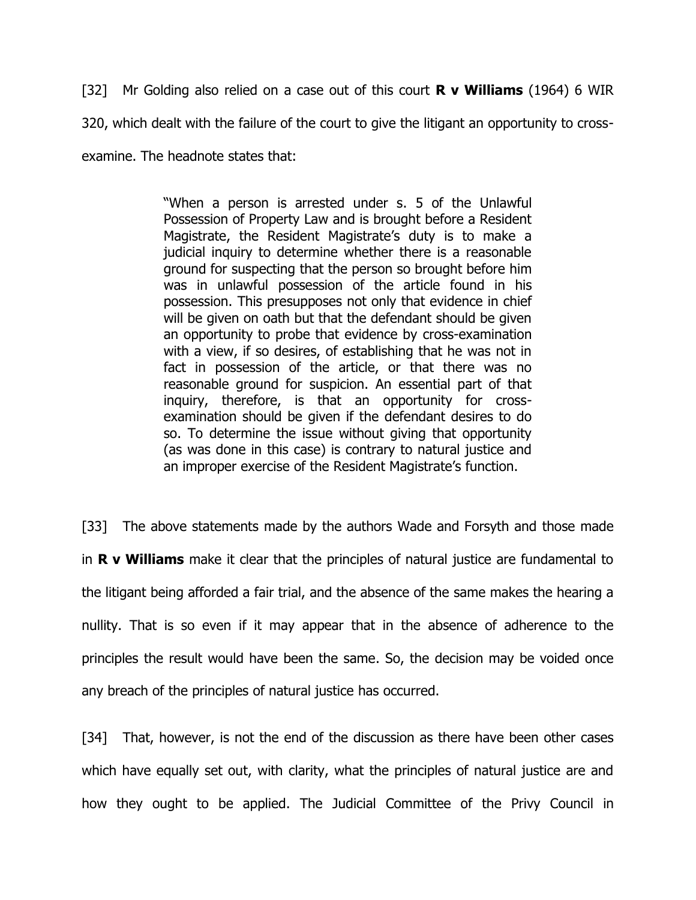[32] Mr Golding also relied on a case out of this court **R v Williams** (1964) 6 WIR 320, which dealt with the failure of the court to give the litigant an opportunity to crossexamine. The headnote states that:

> "When a person is arrested under s. 5 of the Unlawful Possession of Property Law and is brought before a Resident Magistrate, the Resident Magistrate's duty is to make a judicial inquiry to determine whether there is a reasonable ground for suspecting that the person so brought before him was in unlawful possession of the article found in his possession. This presupposes not only that evidence in chief will be given on oath but that the defendant should be given an opportunity to probe that evidence by cross-examination with a view, if so desires, of establishing that he was not in fact in possession of the article, or that there was no reasonable ground for suspicion. An essential part of that inquiry, therefore, is that an opportunity for crossexamination should be given if the defendant desires to do so. To determine the issue without giving that opportunity (as was done in this case) is contrary to natural justice and an improper exercise of the Resident Magistrate's function.

[33] The above statements made by the authors Wade and Forsyth and those made in **R v Williams** make it clear that the principles of natural justice are fundamental to the litigant being afforded a fair trial, and the absence of the same makes the hearing a nullity. That is so even if it may appear that in the absence of adherence to the principles the result would have been the same. So, the decision may be voided once any breach of the principles of natural justice has occurred.

[34] That, however, is not the end of the discussion as there have been other cases which have equally set out, with clarity, what the principles of natural justice are and how they ought to be applied. The Judicial Committee of the Privy Council in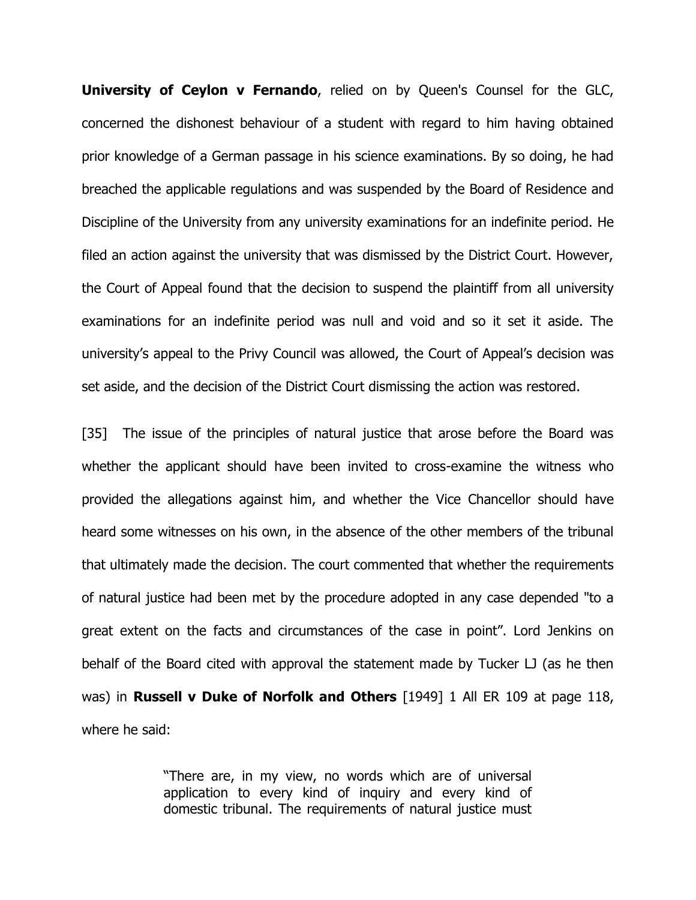**University of Ceylon v Fernando**, relied on by Queen's Counsel for the GLC, concerned the dishonest behaviour of a student with regard to him having obtained prior knowledge of a German passage in his science examinations. By so doing, he had breached the applicable regulations and was suspended by the Board of Residence and Discipline of the University from any university examinations for an indefinite period. He filed an action against the university that was dismissed by the District Court. However, the Court of Appeal found that the decision to suspend the plaintiff from all university examinations for an indefinite period was null and void and so it set it aside. The university's appeal to the Privy Council was allowed, the Court of Appeal's decision was set aside, and the decision of the District Court dismissing the action was restored.

[35] The issue of the principles of natural justice that arose before the Board was whether the applicant should have been invited to cross-examine the witness who provided the allegations against him, and whether the Vice Chancellor should have heard some witnesses on his own, in the absence of the other members of the tribunal that ultimately made the decision. The court commented that whether the requirements of natural justice had been met by the procedure adopted in any case depended "to a great extent on the facts and circumstances of the case in point". Lord Jenkins on behalf of the Board cited with approval the statement made by Tucker LJ (as he then was) in **Russell v Duke of Norfolk and Others** [1949] 1 All ER 109 at page 118, where he said:

> "There are, in my view, no words which are of universal application to every kind of inquiry and every kind of domestic tribunal. The requirements of natural justice must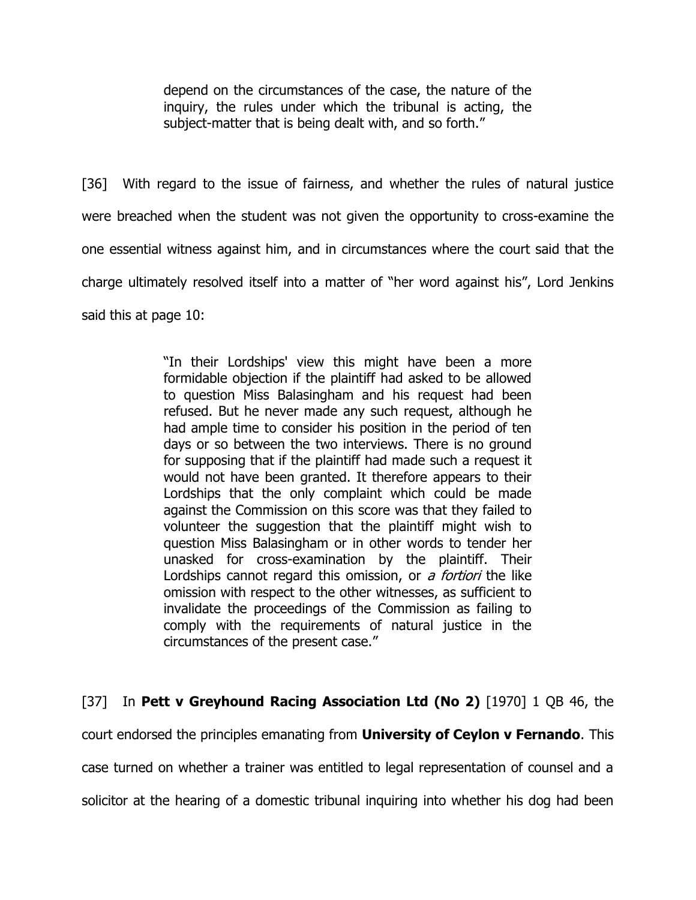depend on the circumstances of the case, the nature of the inquiry, the rules under which the tribunal is acting, the subject-matter that is being dealt with, and so forth."

[36] With regard to the issue of fairness, and whether the rules of natural justice were breached when the student was not given the opportunity to cross-examine the one essential witness against him, and in circumstances where the court said that the charge ultimately resolved itself into a matter of "her word against his", Lord Jenkins said this at page 10:

> "In their Lordships' view this might have been a more formidable objection if the plaintiff had asked to be allowed to question Miss Balasingham and his request had been refused. But he never made any such request, although he had ample time to consider his position in the period of ten days or so between the two interviews. There is no ground for supposing that if the plaintiff had made such a request it would not have been granted. It therefore appears to their Lordships that the only complaint which could be made against the Commission on this score was that they failed to volunteer the suggestion that the plaintiff might wish to question Miss Balasingham or in other words to tender her unasked for cross-examination by the plaintiff. Their Lordships cannot regard this omission, or a fortiori the like omission with respect to the other witnesses, as sufficient to invalidate the proceedings of the Commission as failing to comply with the requirements of natural justice in the circumstances of the present case."

[37] In **Pett v Greyhound Racing Association Ltd (No 2)** [1970] 1 QB 46, the court endorsed the principles emanating from **University of Ceylon v Fernando**. This case turned on whether a trainer was entitled to legal representation of counsel and a solicitor at the hearing of a domestic tribunal inquiring into whether his dog had been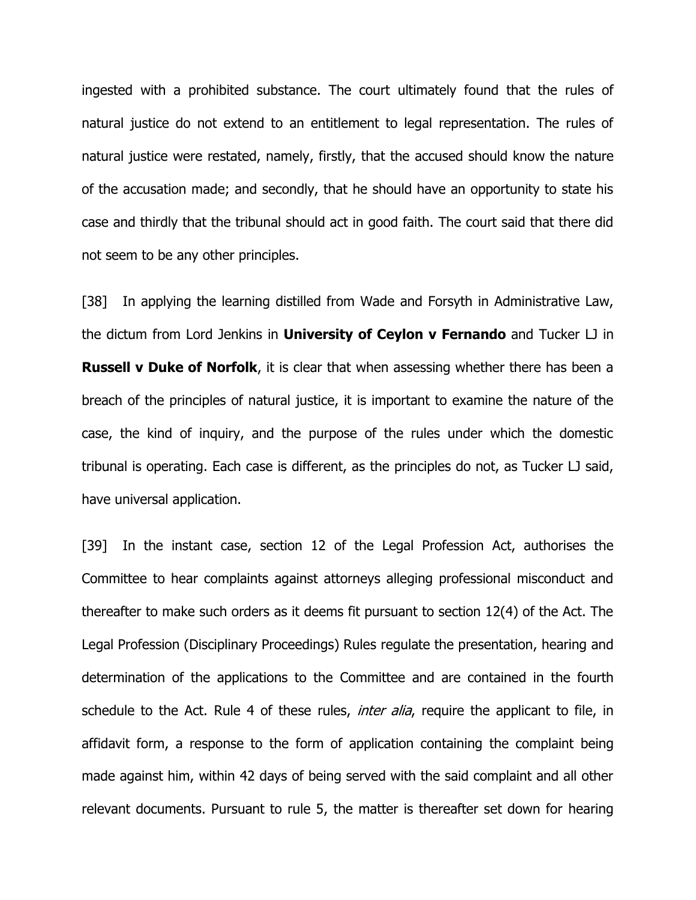ingested with a prohibited substance. The court ultimately found that the rules of natural justice do not extend to an entitlement to legal representation. The rules of natural justice were restated, namely, firstly, that the accused should know the nature of the accusation made; and secondly, that he should have an opportunity to state his case and thirdly that the tribunal should act in good faith. The court said that there did not seem to be any other principles.

[38] In applying the learning distilled from Wade and Forsyth in Administrative Law, the dictum from Lord Jenkins in **University of Ceylon v Fernando** and Tucker LJ in **Russell v Duke of Norfolk**, it is clear that when assessing whether there has been a breach of the principles of natural justice, it is important to examine the nature of the case, the kind of inquiry, and the purpose of the rules under which the domestic tribunal is operating. Each case is different, as the principles do not, as Tucker LJ said, have universal application.

[39] In the instant case, section 12 of the Legal Profession Act, authorises the Committee to hear complaints against attorneys alleging professional misconduct and thereafter to make such orders as it deems fit pursuant to section 12(4) of the Act. The Legal Profession (Disciplinary Proceedings) Rules regulate the presentation, hearing and determination of the applications to the Committee and are contained in the fourth schedule to the Act. Rule 4 of these rules, *inter alia*, require the applicant to file, in affidavit form, a response to the form of application containing the complaint being made against him, within 42 days of being served with the said complaint and all other relevant documents. Pursuant to rule 5, the matter is thereafter set down for hearing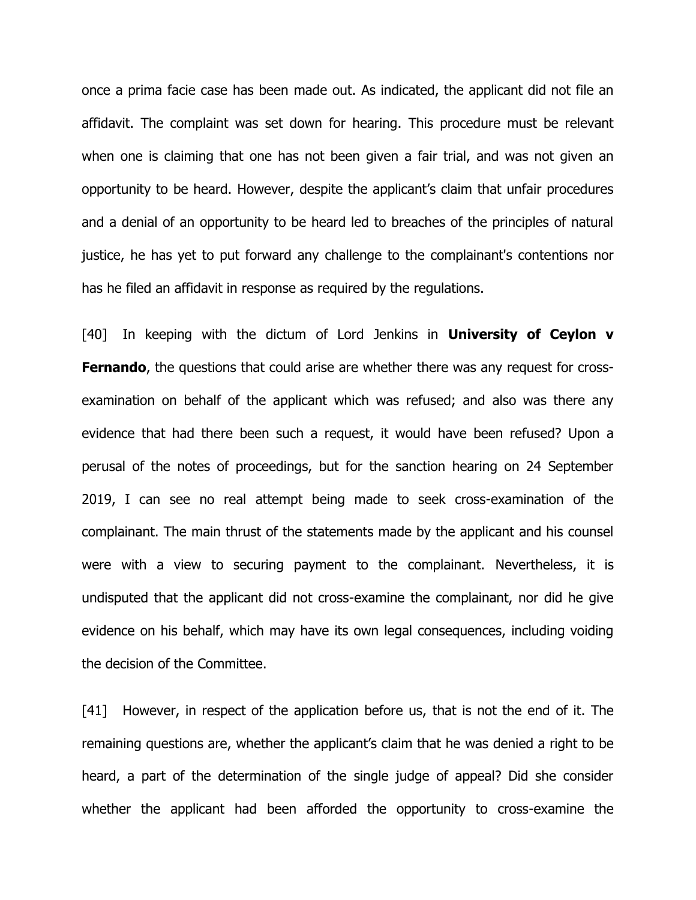once a prima facie case has been made out. As indicated, the applicant did not file an affidavit. The complaint was set down for hearing. This procedure must be relevant when one is claiming that one has not been given a fair trial, and was not given an opportunity to be heard. However, despite the applicant's claim that unfair procedures and a denial of an opportunity to be heard led to breaches of the principles of natural justice, he has yet to put forward any challenge to the complainant's contentions nor has he filed an affidavit in response as required by the regulations.

[40] In keeping with the dictum of Lord Jenkins in **University of Ceylon v Fernando**, the questions that could arise are whether there was any request for crossexamination on behalf of the applicant which was refused; and also was there any evidence that had there been such a request, it would have been refused? Upon a perusal of the notes of proceedings, but for the sanction hearing on 24 September 2019, I can see no real attempt being made to seek cross-examination of the complainant. The main thrust of the statements made by the applicant and his counsel were with a view to securing payment to the complainant. Nevertheless, it is undisputed that the applicant did not cross-examine the complainant, nor did he give evidence on his behalf, which may have its own legal consequences, including voiding the decision of the Committee.

[41] However, in respect of the application before us, that is not the end of it. The remaining questions are, whether the applicant's claim that he was denied a right to be heard, a part of the determination of the single judge of appeal? Did she consider whether the applicant had been afforded the opportunity to cross-examine the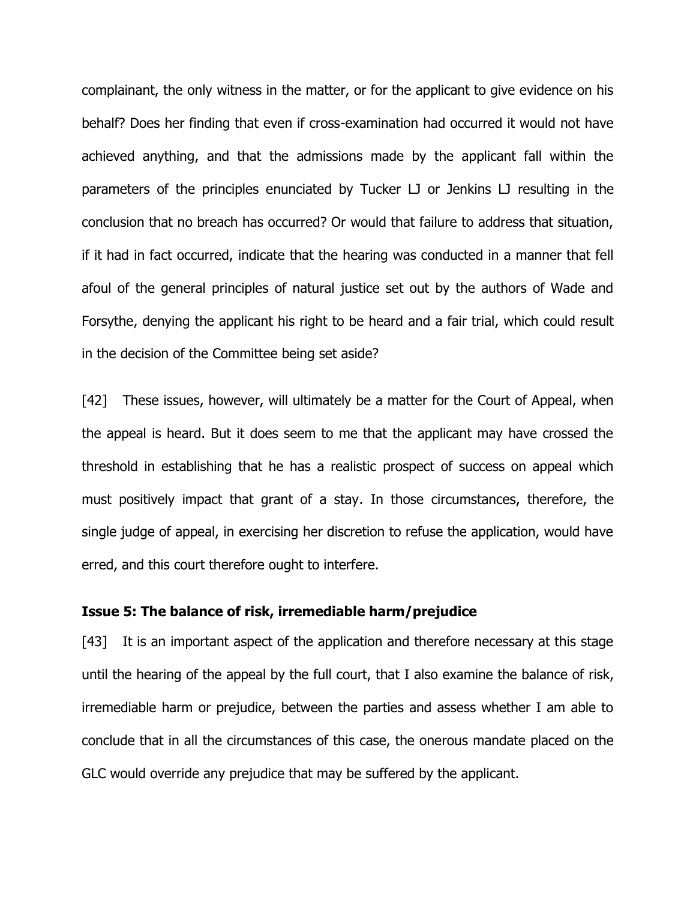complainant, the only witness in the matter, or for the applicant to give evidence on his behalf? Does her finding that even if cross-examination had occurred it would not have achieved anything, and that the admissions made by the applicant fall within the parameters of the principles enunciated by Tucker LJ or Jenkins LJ resulting in the conclusion that no breach has occurred? Or would that failure to address that situation, if it had in fact occurred, indicate that the hearing was conducted in a manner that fell afoul of the general principles of natural justice set out by the authors of Wade and Forsythe, denying the applicant his right to be heard and a fair trial, which could result in the decision of the Committee being set aside?

[42] These issues, however, will ultimately be a matter for the Court of Appeal, when the appeal is heard. But it does seem to me that the applicant may have crossed the threshold in establishing that he has a realistic prospect of success on appeal which must positively impact that grant of a stay. In those circumstances, therefore, the single judge of appeal, in exercising her discretion to refuse the application, would have erred, and this court therefore ought to interfere.

#### **Issue 5: The balance of risk, irremediable harm/prejudice**

[43] It is an important aspect of the application and therefore necessary at this stage until the hearing of the appeal by the full court, that I also examine the balance of risk, irremediable harm or prejudice, between the parties and assess whether I am able to conclude that in all the circumstances of this case, the onerous mandate placed on the GLC would override any prejudice that may be suffered by the applicant.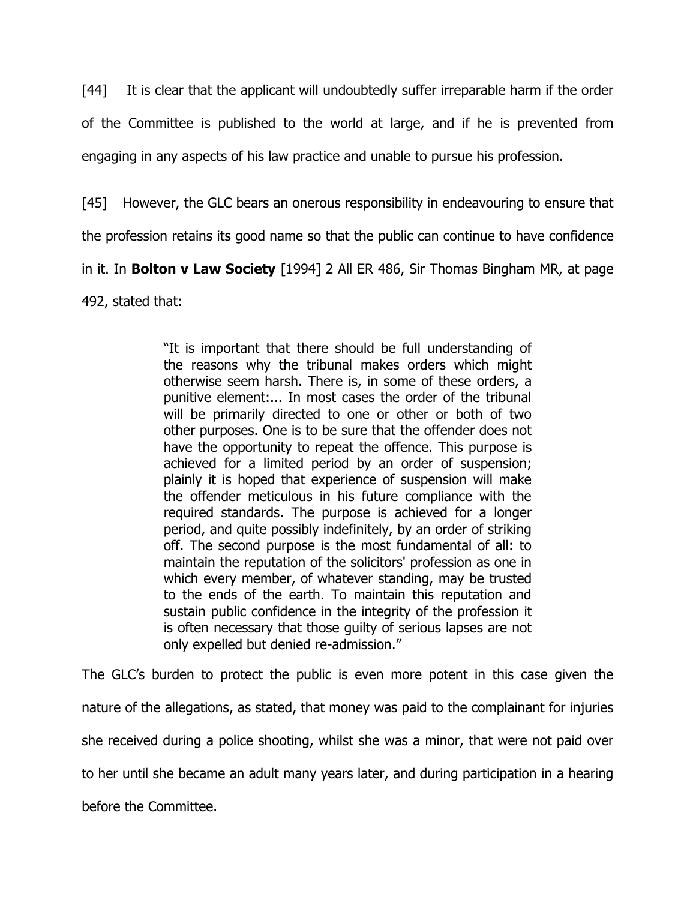[44] It is clear that the applicant will undoubtedly suffer irreparable harm if the order of the Committee is published to the world at large, and if he is prevented from engaging in any aspects of his law practice and unable to pursue his profession.

[45] However, the GLC bears an onerous responsibility in endeavouring to ensure that

the profession retains its good name so that the public can continue to have confidence

in it. In **Bolton v Law Society** [1994] 2 All ER 486, Sir Thomas Bingham MR, at page

492, stated that:

"It is important that there should be full understanding of the reasons why the tribunal makes orders which might otherwise seem harsh. There is, in some of these orders, a punitive element:... In most cases the order of the tribunal will be primarily directed to one or other or both of two other purposes. One is to be sure that the offender does not have the opportunity to repeat the offence. This purpose is achieved for a limited period by an order of suspension; plainly it is hoped that experience of suspension will make the offender meticulous in his future compliance with the required standards. The purpose is achieved for a longer period, and quite possibly indefinitely, by an order of striking off. The second purpose is the most fundamental of all: to maintain the reputation of the solicitors' profession as one in which every member, of whatever standing, may be trusted to the ends of the earth. To maintain this reputation and sustain public confidence in the integrity of the profession it is often necessary that those guilty of serious lapses are not only expelled but denied re-admission."

The GLC's burden to protect the public is even more potent in this case given the nature of the allegations, as stated, that money was paid to the complainant for injuries she received during a police shooting, whilst she was a minor, that were not paid over to her until she became an adult many years later, and during participation in a hearing before the Committee.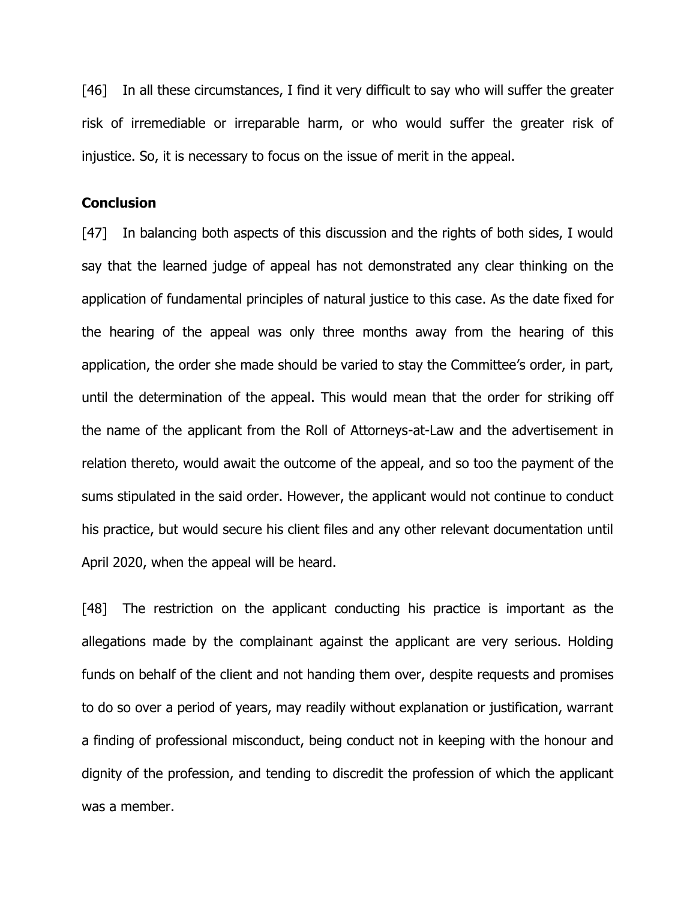[46] In all these circumstances, I find it very difficult to say who will suffer the greater risk of irremediable or irreparable harm, or who would suffer the greater risk of injustice. So, it is necessary to focus on the issue of merit in the appeal.

# **Conclusion**

[47] In balancing both aspects of this discussion and the rights of both sides, I would say that the learned judge of appeal has not demonstrated any clear thinking on the application of fundamental principles of natural justice to this case. As the date fixed for the hearing of the appeal was only three months away from the hearing of this application, the order she made should be varied to stay the Committee's order, in part, until the determination of the appeal. This would mean that the order for striking off the name of the applicant from the Roll of Attorneys-at-Law and the advertisement in relation thereto, would await the outcome of the appeal, and so too the payment of the sums stipulated in the said order. However, the applicant would not continue to conduct his practice, but would secure his client files and any other relevant documentation until April 2020, when the appeal will be heard.

[48] The restriction on the applicant conducting his practice is important as the allegations made by the complainant against the applicant are very serious. Holding funds on behalf of the client and not handing them over, despite requests and promises to do so over a period of years, may readily without explanation or justification, warrant a finding of professional misconduct, being conduct not in keeping with the honour and dignity of the profession, and tending to discredit the profession of which the applicant was a member.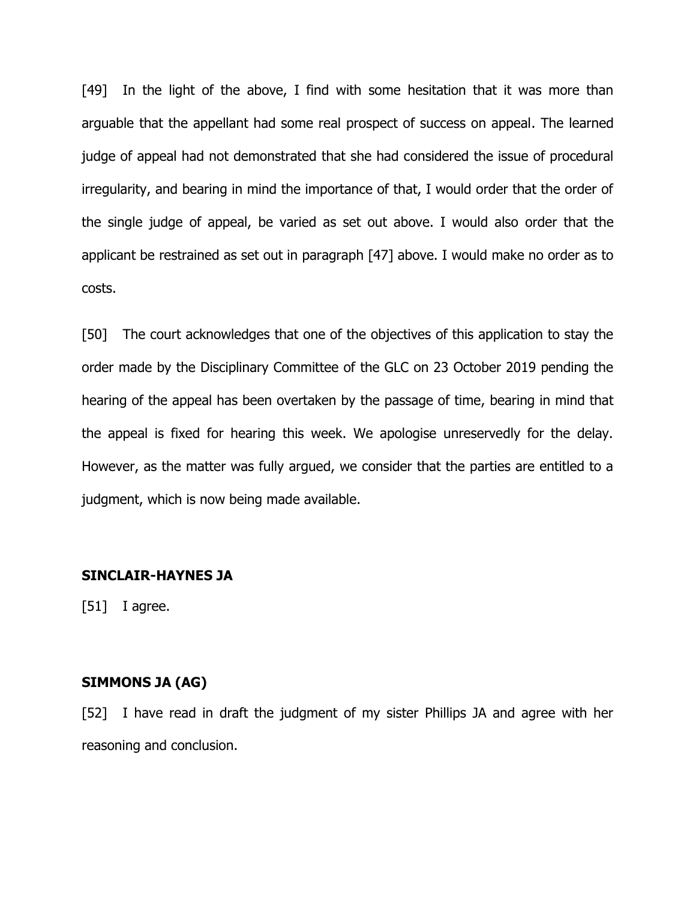[49] In the light of the above, I find with some hesitation that it was more than arguable that the appellant had some real prospect of success on appeal. The learned judge of appeal had not demonstrated that she had considered the issue of procedural irregularity, and bearing in mind the importance of that, I would order that the order of the single judge of appeal, be varied as set out above. I would also order that the applicant be restrained as set out in paragraph [47] above. I would make no order as to costs.

[50] The court acknowledges that one of the objectives of this application to stay the order made by the Disciplinary Committee of the GLC on 23 October 2019 pending the hearing of the appeal has been overtaken by the passage of time, bearing in mind that the appeal is fixed for hearing this week. We apologise unreservedly for the delay. However, as the matter was fully argued, we consider that the parties are entitled to a judgment, which is now being made available.

#### **SINCLAIR-HAYNES JA**

 $[51]$  I agree.

## **SIMMONS JA (AG)**

[52] I have read in draft the judgment of my sister Phillips JA and agree with her reasoning and conclusion.